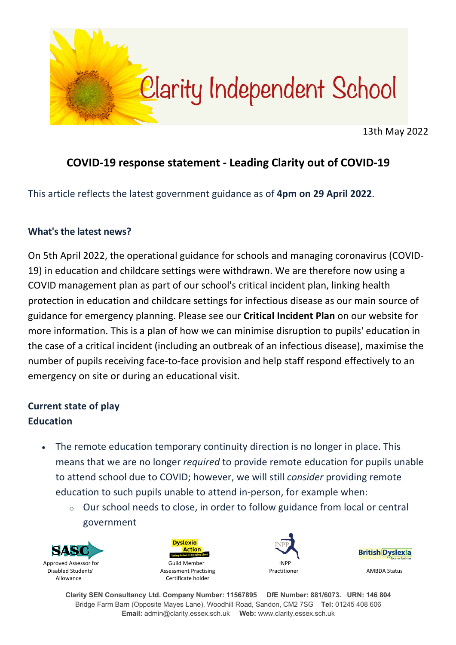

13th May 2022

# **COVID-19 response statement - Leading Clarity out of COVID-19**

This article reflects the latest government guidance as of **4pm on 29 April 2022**.

#### **What's the latest news?**

On 5th April 2022, the operational guidance for schools and managing coronavirus (COVID-19) in education and childcare settings were withdrawn. We are therefore now using a COVID management plan as part of our school's critical incident plan, linking health protection in education and childcare settings for infectious disease as our main source of guidance for emergency planning. Please see our **Critical Incident Plan** on our website for more information. This is a plan of how we can minimise disruption to pupils' education in the case of a critical incident (including an outbreak of an infectious disease), maximise the number of pupils receiving face-to-face provision and help staff respond effectively to an emergency on site or during an educational visit.

## **Current state of play Education**

- The remote education temporary continuity direction is no longer in place. This means that we are no longer *required* to provide remote education for pupils unable to attend school due to COVID; however, we will still *consider* providing remote education to such pupils unable to attend in-person, for example when:
	- o Our school needs to close, in order to follow guidance from local or central government









**Clarity SEN Consultancy Ltd. Company Number: 11567895 DfE Number: 881/6073. URN: 146 804** Bridge Farm Barn (Opposite Mayes Lane), Woodhill Road, Sandon, CM2 7SG **Tel:** 01245 408 606 **Email:** admin@clarity.essex.sch.uk **Web:** www.clarity.essex.sch.uk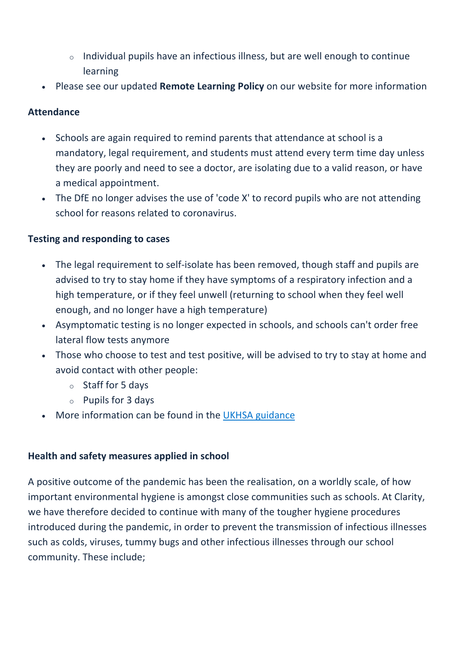- o Individual pupils have an infectious illness, but are well enough to continue learning
- Please see our updated **Remote Learning Policy** on our website for more information

#### **Attendance**

- Schools are again required to remind parents that attendance at school is a mandatory, legal requirement, and students must attend every term time day unless they are poorly and need to see a doctor, are isolating due to a valid reason, or have a medical appointment.
- The DfE no longer advises the use of 'code X' to record pupils who are not attending school for reasons related to coronavirus.

#### **Testing and responding to cases**

- The legal requirement to self-isolate has been removed, though staff and pupils are advised to try to stay home if they have symptoms of a respiratory infection and a high temperature, or if they feel unwell (returning to school when they feel well enough, and no longer have a high temperature)
- Asymptomatic testing is no longer expected in schools, and schools can't order free lateral flow tests anymore
- Those who choose to test and test positive, will be advised to try to stay at home and avoid contact with other people:
	- o Staff for 5 days
	- o Pupils for 3 days
- More information can be found in the UKHSA guidance

#### **Health and safety measures applied in school**

A positive outcome of the pandemic has been the realisation, on a worldly scale, of how important environmental hygiene is amongst close communities such as schools. At Clarity, we have therefore decided to continue with many of the tougher hygiene procedures introduced during the pandemic, in order to prevent the transmission of infectious illnesses such as colds, viruses, tummy bugs and other infectious illnesses through our school community. These include;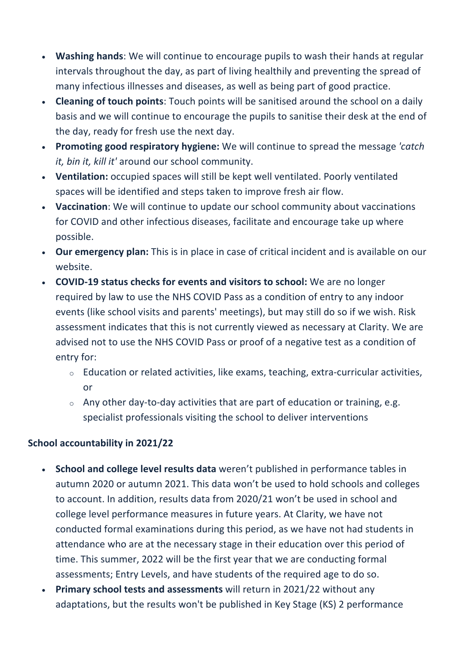- **Washing hands**: We will continue to encourage pupils to wash their hands at regular intervals throughout the day, as part of living healthily and preventing the spread of many infectious illnesses and diseases, as well as being part of good practice.
- **Cleaning of touch points**: Touch points will be sanitised around the school on a daily basis and we will continue to encourage the pupils to sanitise their desk at the end of the day, ready for fresh use the next day.
- **Promoting good respiratory hygiene:** We will continue to spread the message *'catch it, bin it, kill it'* around our school community.
- **Ventilation:** occupied spaces will still be kept well ventilated. Poorly ventilated spaces will be identified and steps taken to improve fresh air flow.
- **Vaccination**: We will continue to update our school community about vaccinations for COVID and other infectious diseases, facilitate and encourage take up where possible.
- **Our emergency plan:** This is in place in case of critical incident and is available on our website.
- **COVID-19 status checks for events and visitors to school:** We are no longer required by law to use the NHS COVID Pass as a condition of entry to any indoor events (like school visits and parents' meetings), but may still do so if we wish. Risk assessment indicates that this is not currently viewed as necessary at Clarity. We are advised not to use the NHS COVID Pass or proof of a negative test as a condition of entry for:
	- o Education or related activities, like exams, teaching, extra-curricular activities, or
	- o Any other day-to-day activities that are part of education or training, e.g. specialist professionals visiting the school to deliver interventions

### **School accountability in 2021/22**

- **School and college level results data** weren't published in performance tables in autumn 2020 or autumn 2021. This data won't be used to hold schools and colleges to account. In addition, results data from 2020/21 won't be used in school and college level performance measures in future years. At Clarity, we have not conducted formal examinations during this period, as we have not had students in attendance who are at the necessary stage in their education over this period of time. This summer, 2022 will be the first year that we are conducting formal assessments; Entry Levels, and have students of the required age to do so.
- **Primary school tests and assessments** will return in 2021/22 without any adaptations, but the results won't be published in Key Stage (KS) 2 performance